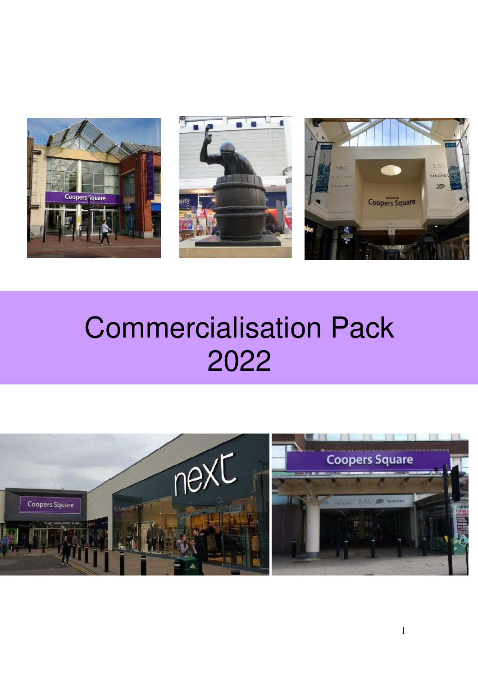





# Commercialisation Pack

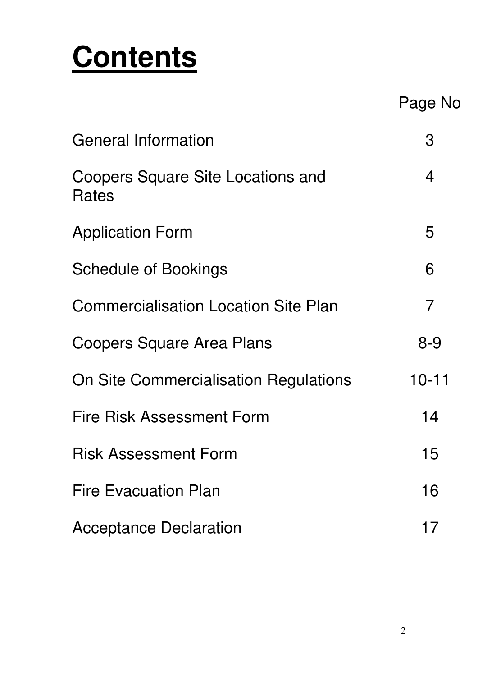# **Contents**

Page No

| <b>General Information</b>                        | З         |
|---------------------------------------------------|-----------|
| <b>Coopers Square Site Locations and</b><br>Rates | 4         |
| <b>Application Form</b>                           | 5         |
| <b>Schedule of Bookings</b>                       | 6         |
| <b>Commercialisation Location Site Plan</b>       | 7         |
| Coopers Square Area Plans                         | $8 - 9$   |
| On Site Commercialisation Regulations             | $10 - 11$ |
| <b>Fire Risk Assessment Form</b>                  | 14        |
| <b>Risk Assessment Form</b>                       | 15        |
| <b>Fire Evacuation Plan</b>                       | 16        |
| <b>Acceptance Declaration</b>                     | 17        |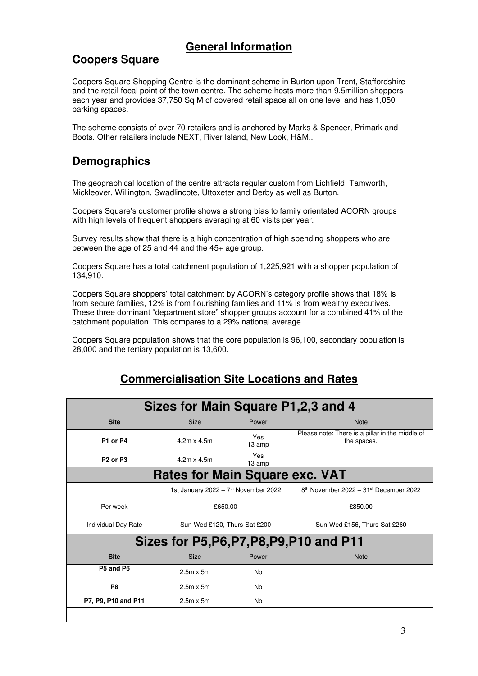### **General Information**

### **Coopers Square**

Coopers Square Shopping Centre is the dominant scheme in Burton upon Trent, Staffordshire and the retail focal point of the town centre. The scheme hosts more than 9.5million shoppers each year and provides 37,750 Sq M of covered retail space all on one level and has 1,050 parking spaces.

The scheme consists of over 70 retailers and is anchored by Marks & Spencer, Primark and Boots. Other retailers include NEXT, River Island, New Look, H&M..

### **Demographics**

The geographical location of the centre attracts regular custom from Lichfield, Tamworth, Mickleover, Willington, Swadlincote, Uttoxeter and Derby as well as Burton.

Coopers Square's customer profile shows a strong bias to family orientated ACORN groups with high levels of frequent shoppers averaging at 60 visits per year.

Survey results show that there is a high concentration of high spending shoppers who are between the age of 25 and 44 and the 45+ age group.

Coopers Square has a total catchment population of 1,225,921 with a shopper population of 134,910.

Coopers Square shoppers' total catchment by ACORN's category profile shows that 18% is from secure families, 12% is from flourishing families and 11% is from wealthy executives. These three dominant "department store" shopper groups account for a combined 41% of the catchment population. This compares to a 29% national average.

Coopers Square population shows that the core population is 96,100, secondary population is 28,000 and the tertiary population is 13,600.

|                                  |                                                  |                | Sizes for Main Square P1,2,3 and 4                             |
|----------------------------------|--------------------------------------------------|----------------|----------------------------------------------------------------|
| <b>Site</b>                      | Size                                             | Power          | <b>Note</b>                                                    |
| P1 or P4                         | Yes<br>$4.2m \times 4.5m$<br>13 amp              |                | Please note: There is a pillar in the middle of<br>the spaces. |
| P <sub>2</sub> or P <sub>3</sub> | $4.2m \times 4.5m$                               | Yes<br>13 amp  |                                                                |
|                                  | <b>Rates for Main Square exc. VAT</b>            |                |                                                                |
|                                  | 1st January 2022 - 7 <sup>th</sup> November 2022 |                | 8th November 2022 - 31st December 2022                         |
| Per week                         | £650.00                                          |                | £850.00                                                        |
| Individual Day Rate              | Sun-Wed £120, Thurs-Sat £200                     |                | Sun-Wed £156, Thurs-Sat £260                                   |
|                                  |                                                  |                | Sizes for P5, P6, P7, P8, P9, P10 and P11                      |
| <b>Site</b>                      | <b>Size</b>                                      | Power          | <b>Note</b>                                                    |
| P5 and P6                        | $2.5m \times 5m$                                 | N <sub>0</sub> |                                                                |
| P <sub>8</sub>                   | $2.5m \times 5m$                                 | No             |                                                                |
| P7, P9, P10 and P11              | $2.5m \times 5m$                                 | No             |                                                                |
|                                  |                                                  |                |                                                                |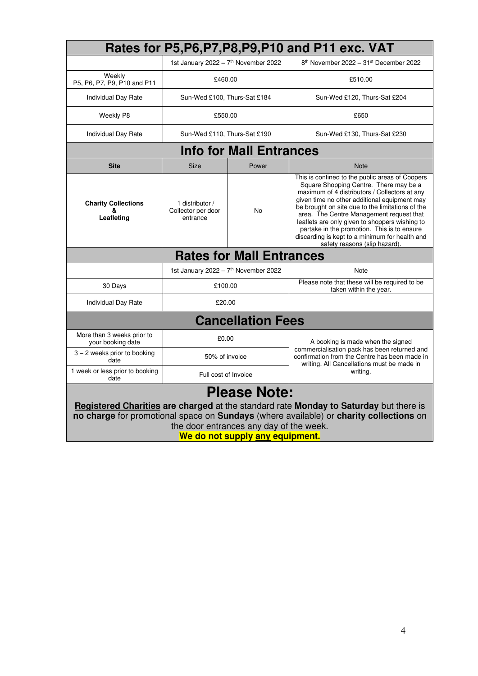|                                                                                                                                                                                                                                                                                      |                                                   |                                | Rates for P5, P6, P7, P8, P9, P10 and P11 exc. VAT                                                                                                                                                                                                                                                                                                                                                                                                                             |  |  |
|--------------------------------------------------------------------------------------------------------------------------------------------------------------------------------------------------------------------------------------------------------------------------------------|---------------------------------------------------|--------------------------------|--------------------------------------------------------------------------------------------------------------------------------------------------------------------------------------------------------------------------------------------------------------------------------------------------------------------------------------------------------------------------------------------------------------------------------------------------------------------------------|--|--|
|                                                                                                                                                                                                                                                                                      | 1st January 2022 - 7 <sup>th</sup> November 2022  |                                | 8th November 2022 - 31st December 2022                                                                                                                                                                                                                                                                                                                                                                                                                                         |  |  |
| Weekly<br>P5, P6, P7, P9, P10 and P11                                                                                                                                                                                                                                                | £460.00                                           |                                | £510.00                                                                                                                                                                                                                                                                                                                                                                                                                                                                        |  |  |
| Individual Day Rate                                                                                                                                                                                                                                                                  | Sun-Wed £100, Thurs-Sat £184                      |                                | Sun-Wed £120, Thurs-Sat £204                                                                                                                                                                                                                                                                                                                                                                                                                                                   |  |  |
| Weekly P8                                                                                                                                                                                                                                                                            | £550.00                                           |                                | £650                                                                                                                                                                                                                                                                                                                                                                                                                                                                           |  |  |
| Individual Day Rate                                                                                                                                                                                                                                                                  | Sun-Wed £110, Thurs-Sat £190                      |                                | Sun-Wed £130, Thurs-Sat £230                                                                                                                                                                                                                                                                                                                                                                                                                                                   |  |  |
|                                                                                                                                                                                                                                                                                      |                                                   | <b>Info for Mall Entrances</b> |                                                                                                                                                                                                                                                                                                                                                                                                                                                                                |  |  |
| <b>Site</b>                                                                                                                                                                                                                                                                          | <b>Size</b>                                       | Power                          | <b>Note</b>                                                                                                                                                                                                                                                                                                                                                                                                                                                                    |  |  |
| <b>Charity Collections</b><br>&<br>Leafleting                                                                                                                                                                                                                                        | 1 distributor /<br>Collector per door<br>entrance | No.                            | This is confined to the public areas of Coopers<br>Square Shopping Centre. There may be a<br>maximum of 4 distributors / Collectors at any<br>given time no other additional equipment may<br>be brought on site due to the limitations of the<br>area. The Centre Management request that<br>leaflets are only given to shoppers wishing to<br>partake in the promotion. This is to ensure<br>discarding is kept to a minimum for health and<br>safety reasons (slip hazard). |  |  |
| <b>Rates for Mall Entrances</b>                                                                                                                                                                                                                                                      |                                                   |                                |                                                                                                                                                                                                                                                                                                                                                                                                                                                                                |  |  |
|                                                                                                                                                                                                                                                                                      | 1st January 2022 - 7th November 2022              |                                | Note                                                                                                                                                                                                                                                                                                                                                                                                                                                                           |  |  |
| 30 Days                                                                                                                                                                                                                                                                              | £100.00                                           |                                | Please note that these will be required to be<br>taken within the year.                                                                                                                                                                                                                                                                                                                                                                                                        |  |  |
| Individual Day Rate                                                                                                                                                                                                                                                                  | £20.00                                            |                                |                                                                                                                                                                                                                                                                                                                                                                                                                                                                                |  |  |
|                                                                                                                                                                                                                                                                                      |                                                   | <b>Cancellation Fees</b>       |                                                                                                                                                                                                                                                                                                                                                                                                                                                                                |  |  |
| More than 3 weeks prior to<br>your booking date                                                                                                                                                                                                                                      | £0.00                                             |                                | A booking is made when the signed                                                                                                                                                                                                                                                                                                                                                                                                                                              |  |  |
| $3 - 2$ weeks prior to booking<br>date                                                                                                                                                                                                                                               | 50% of invoice                                    |                                | commercialisation pack has been returned and<br>confirmation from the Centre has been made in<br>writing. All Cancellations must be made in                                                                                                                                                                                                                                                                                                                                    |  |  |
| 1 week or less prior to booking<br>date                                                                                                                                                                                                                                              | writing.<br>Full cost of Invoice                  |                                |                                                                                                                                                                                                                                                                                                                                                                                                                                                                                |  |  |
| <b>Please Note:</b><br>Registered Charities are charged at the standard rate Monday to Saturday but there is<br>no charge for promotional space on Sundays (where available) or charity collections on<br>the door entrances any day of the week.<br>We do not supply any equipment. |                                                   |                                |                                                                                                                                                                                                                                                                                                                                                                                                                                                                                |  |  |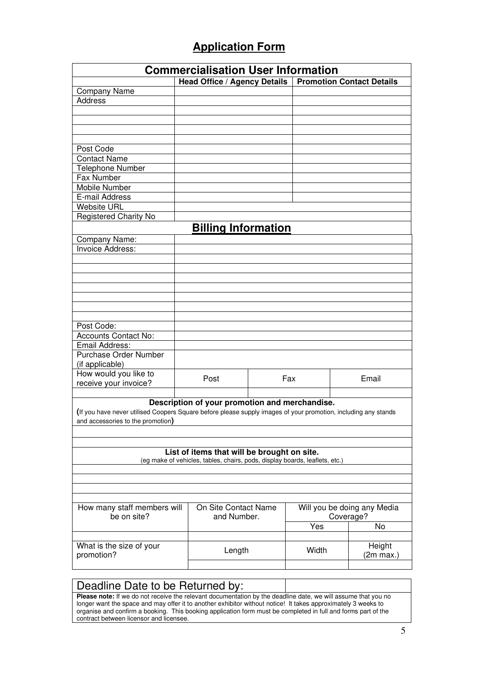### **Application Form**

|                                                                                                                | <b>Commercialisation User Information</b>                                   |     |       |           |                                  |
|----------------------------------------------------------------------------------------------------------------|-----------------------------------------------------------------------------|-----|-------|-----------|----------------------------------|
|                                                                                                                | <b>Head Office / Agency Details</b>                                         |     |       |           | <b>Promotion Contact Details</b> |
| Company Name                                                                                                   |                                                                             |     |       |           |                                  |
| <b>Address</b>                                                                                                 |                                                                             |     |       |           |                                  |
|                                                                                                                |                                                                             |     |       |           |                                  |
|                                                                                                                |                                                                             |     |       |           |                                  |
|                                                                                                                |                                                                             |     |       |           |                                  |
|                                                                                                                |                                                                             |     |       |           |                                  |
| Post Code                                                                                                      |                                                                             |     |       |           |                                  |
| <b>Contact Name</b>                                                                                            |                                                                             |     |       |           |                                  |
| Telephone Number                                                                                               |                                                                             |     |       |           |                                  |
| Fax Number                                                                                                     |                                                                             |     |       |           |                                  |
| Mobile Number                                                                                                  |                                                                             |     |       |           |                                  |
| E-mail Address                                                                                                 |                                                                             |     |       |           |                                  |
| <b>Website URL</b>                                                                                             |                                                                             |     |       |           |                                  |
| Registered Charity No                                                                                          |                                                                             |     |       |           |                                  |
|                                                                                                                | <b>Billing Information</b>                                                  |     |       |           |                                  |
| Company Name:                                                                                                  |                                                                             |     |       |           |                                  |
| Invoice Address:                                                                                               |                                                                             |     |       |           |                                  |
|                                                                                                                |                                                                             |     |       |           |                                  |
|                                                                                                                |                                                                             |     |       |           |                                  |
|                                                                                                                |                                                                             |     |       |           |                                  |
|                                                                                                                |                                                                             |     |       |           |                                  |
|                                                                                                                |                                                                             |     |       |           |                                  |
|                                                                                                                |                                                                             |     |       |           |                                  |
|                                                                                                                |                                                                             |     |       |           |                                  |
| Post Code:                                                                                                     |                                                                             |     |       |           |                                  |
| <b>Accounts Contact No:</b>                                                                                    |                                                                             |     |       |           |                                  |
| Email Address:                                                                                                 |                                                                             |     |       |           |                                  |
| <b>Purchase Order Number</b>                                                                                   |                                                                             |     |       |           |                                  |
| (if applicable)                                                                                                |                                                                             |     |       |           |                                  |
| How would you like to                                                                                          |                                                                             |     |       |           |                                  |
| receive your invoice?                                                                                          | Post                                                                        | Fax |       |           | Email                            |
|                                                                                                                |                                                                             |     |       |           |                                  |
|                                                                                                                | Description of your promotion and merchandise.                              |     |       |           |                                  |
| (If you have never utilised Coopers Square before please supply images of your promotion, including any stands |                                                                             |     |       |           |                                  |
| and accessories to the promotion)                                                                              |                                                                             |     |       |           |                                  |
|                                                                                                                |                                                                             |     |       |           |                                  |
|                                                                                                                |                                                                             |     |       |           |                                  |
|                                                                                                                | List of items that will be brought on site.                                 |     |       |           |                                  |
|                                                                                                                | (eg make of vehicles, tables, chairs, pods, display boards, leaflets, etc.) |     |       |           |                                  |
|                                                                                                                |                                                                             |     |       |           |                                  |
|                                                                                                                |                                                                             |     |       |           |                                  |
|                                                                                                                |                                                                             |     |       |           |                                  |
|                                                                                                                |                                                                             |     |       |           |                                  |
| How many staff members will                                                                                    | On Site Contact Name                                                        |     |       |           | Will you be doing any Media      |
| be on site?                                                                                                    | and Number.                                                                 |     |       | Coverage? |                                  |
|                                                                                                                |                                                                             |     | Yes   |           | No                               |
|                                                                                                                |                                                                             |     |       |           |                                  |
| What is the size of your                                                                                       |                                                                             |     |       |           | Height                           |
| promotion?                                                                                                     | Length                                                                      |     | Width |           | (2m max.)                        |
|                                                                                                                |                                                                             |     |       |           |                                  |
|                                                                                                                |                                                                             |     |       |           |                                  |

#### Deadline Date to be Returned by:

**Please note:** If we do not receive the relevant documentation by the deadline date, we will assume that you no longer want the space and may offer it to another exhibitor without notice! It takes approximately 3 weeks to organise and confirm a booking. This booking application form must be completed in full and forms part of the contract between licensor and licensee.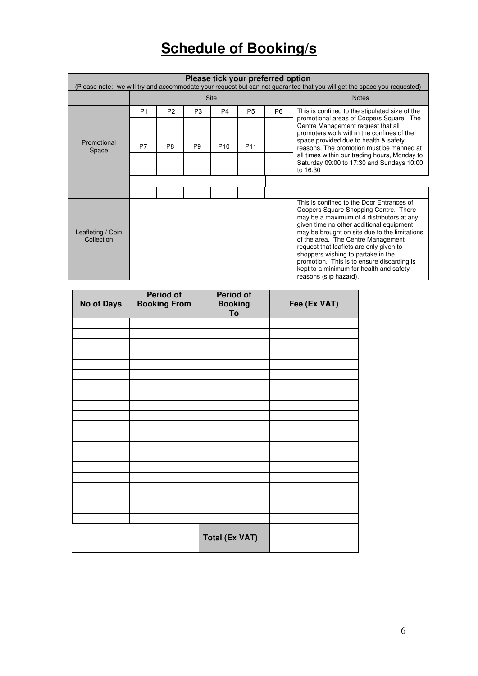# **Schedule of Booking/s**

| Please tick your preferred option<br>(Please note:- we will try and accommodate your request but can not guarantee that you will get the space you requested) |                |                |                |                 |                 |                |                                                                                                                                                                                                                                                                                                                                                                                                                                                                        |
|---------------------------------------------------------------------------------------------------------------------------------------------------------------|----------------|----------------|----------------|-----------------|-----------------|----------------|------------------------------------------------------------------------------------------------------------------------------------------------------------------------------------------------------------------------------------------------------------------------------------------------------------------------------------------------------------------------------------------------------------------------------------------------------------------------|
|                                                                                                                                                               | Site           |                |                |                 | <b>Notes</b>    |                |                                                                                                                                                                                                                                                                                                                                                                                                                                                                        |
|                                                                                                                                                               | P <sub>1</sub> | P <sub>2</sub> | P3             | P4              | P <sub>5</sub>  | P <sub>6</sub> | This is confined to the stipulated size of the<br>promotional areas of Coopers Square. The                                                                                                                                                                                                                                                                                                                                                                             |
|                                                                                                                                                               |                |                |                |                 |                 |                | Centre Management request that all<br>promoters work within the confines of the                                                                                                                                                                                                                                                                                                                                                                                        |
| Promotional<br>Space                                                                                                                                          | P7             | P <sub>8</sub> | P <sub>9</sub> | P <sub>10</sub> | P <sub>11</sub> |                | space provided due to health & safety<br>reasons. The promotion must be manned at                                                                                                                                                                                                                                                                                                                                                                                      |
|                                                                                                                                                               |                |                |                |                 |                 |                | all times within our trading hours, Monday to<br>Saturday 09:00 to 17:30 and Sundays 10:00<br>to 16:30                                                                                                                                                                                                                                                                                                                                                                 |
|                                                                                                                                                               |                |                |                |                 |                 |                |                                                                                                                                                                                                                                                                                                                                                                                                                                                                        |
|                                                                                                                                                               |                |                |                |                 |                 |                |                                                                                                                                                                                                                                                                                                                                                                                                                                                                        |
| Leafleting / Coin<br>Collection                                                                                                                               |                |                |                |                 |                 |                | This is confined to the Door Entrances of<br>Coopers Square Shopping Centre. There<br>may be a maximum of 4 distributors at any<br>given time no other additional equipment<br>may be brought on site due to the limitations<br>of the area. The Centre Management<br>request that leaflets are only given to<br>shoppers wishing to partake in the<br>promotion. This is to ensure discarding is<br>kept to a minimum for health and safety<br>reasons (slip hazard). |

| <b>No of Days</b> | <b>Period of</b><br><b>Booking From</b> | <b>Period of</b><br><b>Booking</b><br>To | Fee (Ex VAT) |
|-------------------|-----------------------------------------|------------------------------------------|--------------|
|                   |                                         |                                          |              |
|                   |                                         |                                          |              |
|                   |                                         |                                          |              |
|                   |                                         |                                          |              |
|                   |                                         |                                          |              |
|                   |                                         |                                          |              |
|                   |                                         |                                          |              |
|                   |                                         |                                          |              |
|                   |                                         |                                          |              |
|                   |                                         |                                          |              |
|                   |                                         |                                          |              |
|                   |                                         |                                          |              |
|                   |                                         |                                          |              |
|                   |                                         |                                          |              |
|                   |                                         |                                          |              |
|                   |                                         |                                          |              |
|                   |                                         |                                          |              |
|                   |                                         |                                          |              |
|                   |                                         |                                          |              |
|                   |                                         |                                          |              |
|                   |                                         | <b>Total (Ex VAT)</b>                    |              |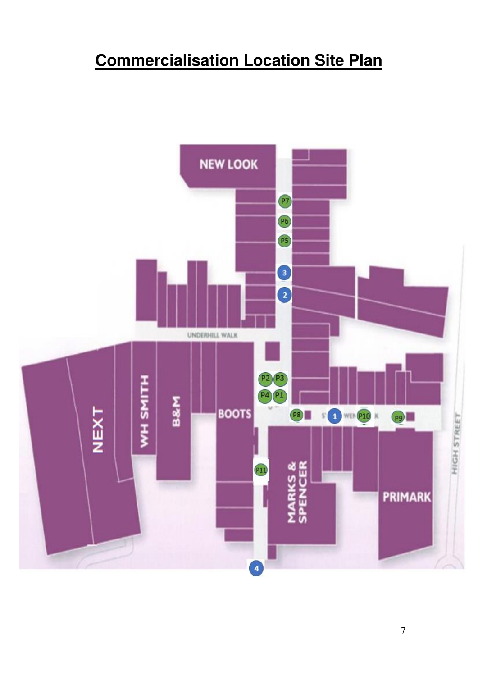# **Commercialisation Location Site Plan**

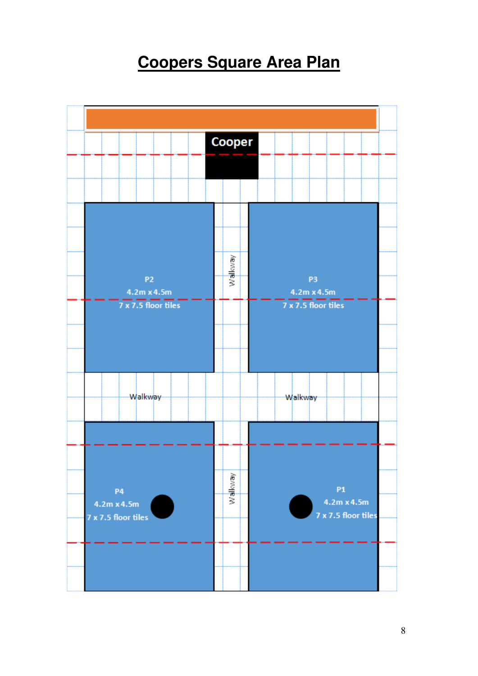# **Coopers Square Area Plan**

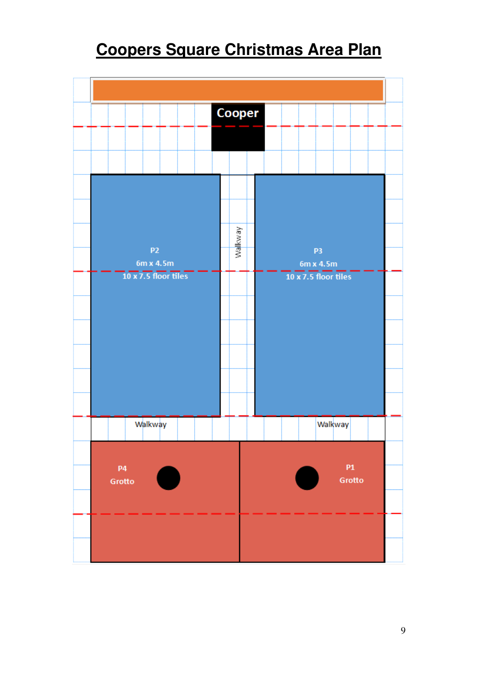# **Coopers Square Christmas Area Plan**

|                             | Cooper   |                             |              |  |
|-----------------------------|----------|-----------------------------|--------------|--|
|                             |          |                             |              |  |
|                             |          |                             |              |  |
|                             |          |                             |              |  |
|                             |          |                             |              |  |
|                             | vewaljew |                             |              |  |
| P <sub>2</sub><br>6m x 4.5m |          | P <sub>3</sub><br>6m x 4.5m |              |  |
| 10 x 7.5 floor tiles        |          | 10 x 7.5 floor tiles        |              |  |
|                             |          |                             |              |  |
|                             |          |                             |              |  |
|                             |          |                             |              |  |
|                             |          |                             |              |  |
|                             |          |                             |              |  |
| Walkway                     |          |                             | Walkway      |  |
|                             |          |                             |              |  |
| <b>P4</b><br>Grotto         |          |                             | P1<br>Grotto |  |
|                             |          |                             |              |  |
|                             |          |                             |              |  |
|                             |          |                             |              |  |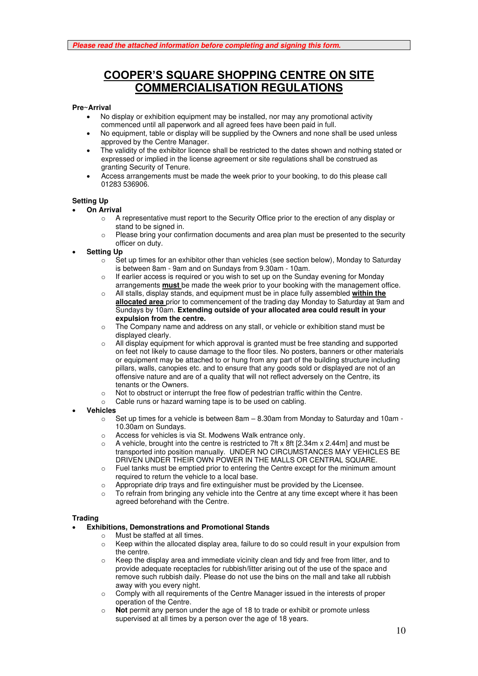### **COOPER'S SQUARE SHOPPING CENTRE ON SITE COMMERCIALISATION REGULATIONS**

#### **Pre~Arrival**

- No display or exhibition equipment may be installed, nor may any promotional activity commenced until all paperwork and all agreed fees have been paid in full.
- No equipment, table or display will be supplied by the Owners and none shall be used unless approved by the Centre Manager.
- The validity of the exhibitor licence shall be restricted to the dates shown and nothing stated or expressed or implied in the license agreement or site regulations shall be construed as granting Security of Tenure.
- Access arrangements must be made the week prior to your booking, to do this please call 01283 536906.

#### **Setting Up**

- **On Arrival**
	- $\circ$  A representative must report to the Security Office prior to the erection of any display or stand to be signed in.
	- $\circ$  Please bring your confirmation documents and area plan must be presented to the security officer on duty.
- **Setting Up**
	- $\circ$  Set up times for an exhibitor other than vehicles (see section below). Monday to Saturday is between 8am - 9am and on Sundays from 9.30am - 10am.
	- $\circ$  If earlier access is required or you wish to set up on the Sunday evening for Monday arrangements **must** be made the week prior to your booking with the management office.
	- o All stalls, display stands, and equipment must be in place fully assembled **within the allocated area** prior to commencement of the trading day Monday to Saturday at 9am and Sundays by 10am. **Extending outside of your allocated area could result in your expulsion from the centre.**
	- $\circ$  The Company name and address on any stall, or vehicle or exhibition stand must be displayed clearly.
	- o All display equipment for which approval is granted must be free standing and supported on feet not likely to cause damage to the floor tiles. No posters, banners or other materials or equipment may be attached to or hung from any part of the building structure including pillars, walls, canopies etc. and to ensure that any goods sold or displayed are not of an offensive nature and are of a quality that will not reflect adversely on the Centre, its tenants or the Owners.
	- o Not to obstruct or interrupt the free flow of pedestrian traffic within the Centre.
	- o Cable runs or hazard warning tape is to be used on cabling.
- **Vehicles**
	- $\circ$  Set up times for a vehicle is between 8am  $-$  8.30am from Monday to Saturday and 10am -10.30am on Sundays.
	- o Access for vehicles is via St. Modwens Walk entrance only.
	- $\circ$  A vehicle, brought into the centre is restricted to 7ft x 8ft [2.34m x 2.44m] and must be transported into position manually. UNDER NO CIRCUMSTANCES MAY VEHICLES BE DRIVEN UNDER THEIR OWN POWER IN THE MALLS OR CENTRAL SQUARE.
	- o Fuel tanks must be emptied prior to entering the Centre except for the minimum amount required to return the vehicle to a local base.
	- $\circ$  Appropriate drip trays and fire extinguisher must be provided by the Licensee.
	- $\circ$  To refrain from bringing any vehicle into the Centre at any time except where it has been agreed beforehand with the Centre.

#### **Trading**

#### • **Exhibitions, Demonstrations and Promotional Stands**

- o Must be staffed at all times.
- $\circ$  Keep within the allocated display area, failure to do so could result in your expulsion from the centre.
- Keep the display area and immediate vicinity clean and tidy and free from litter, and to provide adequate receptacles for rubbish/litter arising out of the use of the space and remove such rubbish daily. Please do not use the bins on the mall and take all rubbish away with you every night.
- o Comply with all requirements of the Centre Manager issued in the interests of proper operation of the Centre.
- Not permit any person under the age of 18 to trade or exhibit or promote unless supervised at all times by a person over the age of 18 years.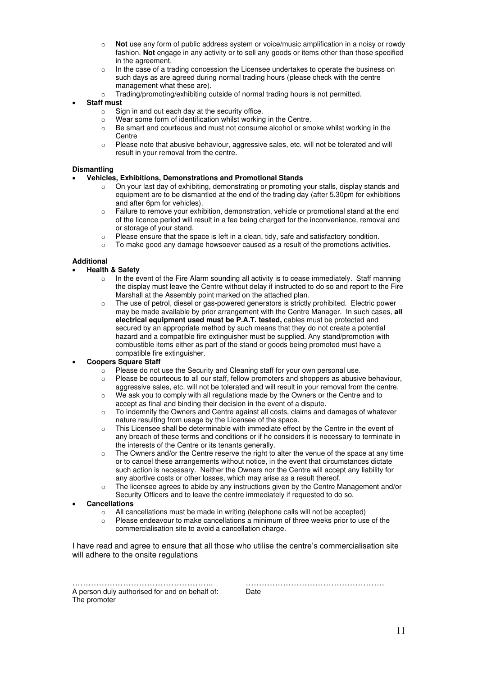- Not use any form of public address system or voice/music amplification in a noisy or rowdy fashion. **Not** engage in any activity or to sell any goods or items other than those specified in the agreement.
- o In the case of a trading concession the Licensee undertakes to operate the business on such days as are agreed during normal trading hours (please check with the centre management what these are).
- o Trading/promoting/exhibiting outside of normal trading hours is not permitted.

#### • **Staff must**

- o Sign in and out each day at the security office.
- o Wear some form of identification whilst working in the Centre.
- o Be smart and courteous and must not consume alcohol or smoke whilst working in the **Centre**
- o Please note that abusive behaviour, aggressive sales, etc. will not be tolerated and will result in your removal from the centre.

#### **Dismantling**

#### • **Vehicles, Exhibitions, Demonstrations and Promotional Stands**

- $\circ$  On your last day of exhibiting, demonstrating or promoting your stalls, display stands and equipment are to be dismantled at the end of the trading day (after 5.30pm for exhibitions and after 6pm for vehicles).
- o Failure to remove your exhibition, demonstration, vehicle or promotional stand at the end of the licence period will result in a fee being charged for the inconvenience, removal and or storage of your stand.
- $\circ$  Please ensure that the space is left in a clean, tidy, safe and satisfactory condition.
- $\circ$  To make good any damage howsoever caused as a result of the promotions activities.

#### **Additional**

#### • **Health & Safety**

- $\circ$  In the event of the Fire Alarm sounding all activity is to cease immediately. Staff manning the display must leave the Centre without delay if instructed to do so and report to the Fire Marshall at the Assembly point marked on the attached plan.
- o The use of petrol, diesel or gas-powered generators is strictly prohibited. Electric power may be made available by prior arrangement with the Centre Manager. In such cases, **all electrical equipment used must be P.A.T. tested,** cables must be protected and secured by an appropriate method by such means that they do not create a potential hazard and a compatible fire extinguisher must be supplied. Any stand/promotion with combustible items either as part of the stand or goods being promoted must have a compatible fire extinguisher.

#### • **Coopers Square Staff**

- $\circ$  Please do not use the Security and Cleaning staff for your own personal use.
- $\circ$  Please be courteous to all our staff, fellow promoters and shoppers as abusive behaviour, aggressive sales, etc. will not be tolerated and will result in your removal from the centre.
- $\circ$  We ask you to comply with all regulations made by the Owners or the Centre and to accept as final and binding their decision in the event of a dispute.
- o To indemnify the Owners and Centre against all costs, claims and damages of whatever nature resulting from usage by the Licensee of the space.
- o This Licensee shall be determinable with immediate effect by the Centre in the event of any breach of these terms and conditions or if he considers it is necessary to terminate in the interests of the Centre or its tenants generally.
- $\circ$  The Owners and/or the Centre reserve the right to alter the venue of the space at any time or to cancel these arrangements without notice, in the event that circumstances dictate such action is necessary. Neither the Owners nor the Centre will accept any liability for any abortive costs or other losses, which may arise as a result thereof.
- $\circ$  The licensee agrees to abide by any instructions given by the Centre Management and/or Security Officers and to leave the centre immediately if requested to do so.

#### • **Cancellations**

- $\circ$  All cancellations must be made in writing (telephone calls will not be accepted)
- $\circ$  Please endeavour to make cancellations a minimum of three weeks prior to use of the commercialisation site to avoid a cancellation charge.

I have read and agree to ensure that all those who utilise the centre's commercialisation site will adhere to the onsite regulations

A person duly authorised for and on behalf of: Date The promoter

…………………………………………….. …………………………………………….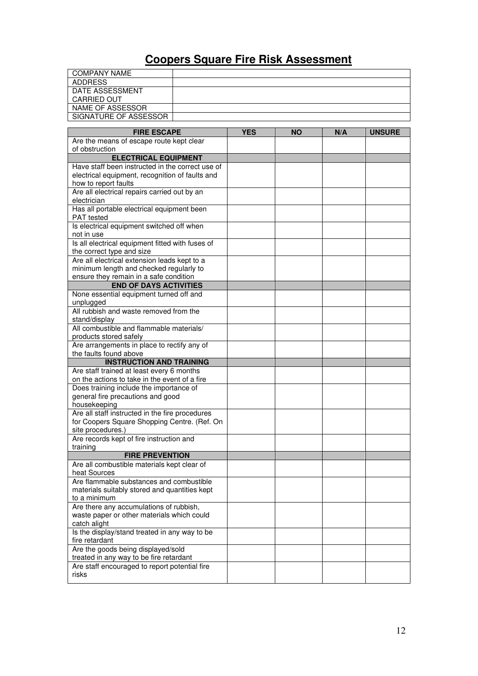## **Coopers Square Fire Risk Assessment**

| <b>COMPANY NAME</b>                                                                      |            |           |     |               |
|------------------------------------------------------------------------------------------|------------|-----------|-----|---------------|
| <b>ADDRESS</b>                                                                           |            |           |     |               |
| DATE ASSESSMENT                                                                          |            |           |     |               |
| CARRIED OUT                                                                              |            |           |     |               |
| NAME OF ASSESSOR                                                                         |            |           |     |               |
| SIGNATURE OF ASSESSOR                                                                    |            |           |     |               |
|                                                                                          |            |           |     |               |
| <b>FIRE ESCAPE</b><br>Are the means of escape route kept clear                           | <b>YES</b> | <b>NO</b> | N/A | <b>UNSURE</b> |
| of obstruction                                                                           |            |           |     |               |
| <b>ELECTRICAL EQUIPMENT</b>                                                              |            |           |     |               |
| Have staff been instructed in the correct use of                                         |            |           |     |               |
| electrical equipment, recognition of faults and                                          |            |           |     |               |
| how to report faults                                                                     |            |           |     |               |
| Are all electrical repairs carried out by an                                             |            |           |     |               |
| electrician                                                                              |            |           |     |               |
| Has all portable electrical equipment been                                               |            |           |     |               |
| PAT tested<br>Is electrical equipment switched off when                                  |            |           |     |               |
| not in use                                                                               |            |           |     |               |
| Is all electrical equipment fitted with fuses of                                         |            |           |     |               |
| the correct type and size                                                                |            |           |     |               |
| Are all electrical extension leads kept to a                                             |            |           |     |               |
| minimum length and checked regularly to                                                  |            |           |     |               |
| ensure they remain in a safe condition                                                   |            |           |     |               |
| <b>END OF DAYS ACTIVITIES</b>                                                            |            |           |     |               |
| None essential equipment turned off and                                                  |            |           |     |               |
| unplugged<br>All rubbish and waste removed from the                                      |            |           |     |               |
| stand/display                                                                            |            |           |     |               |
| All combustible and flammable materials/                                                 |            |           |     |               |
| products stored safely                                                                   |            |           |     |               |
| Are arrangements in place to rectify any of                                              |            |           |     |               |
| the faults found above                                                                   |            |           |     |               |
| <b>INSTRUCTION AND TRAINING</b>                                                          |            |           |     |               |
| Are staff trained at least every 6 months                                                |            |           |     |               |
| on the actions to take in the event of a fire<br>Does training include the importance of |            |           |     |               |
| general fire precautions and good                                                        |            |           |     |               |
| housekeeping                                                                             |            |           |     |               |
| Are all staff instructed in the fire procedures                                          |            |           |     |               |
| for Coopers Square Shopping Centre. (Ref. On                                             |            |           |     |               |
| site procedures.)                                                                        |            |           |     |               |
| Are records kept of fire instruction and                                                 |            |           |     |               |
| training<br><b>FIRE PREVENTION</b>                                                       |            |           |     |               |
| Are all combustible materials kept clear of                                              |            |           |     |               |
| heat Sources                                                                             |            |           |     |               |
| Are flammable substances and combustible                                                 |            |           |     |               |
| materials suitably stored and quantities kept                                            |            |           |     |               |
| to a minimum                                                                             |            |           |     |               |
| Are there any accumulations of rubbish,                                                  |            |           |     |               |
| waste paper or other materials which could                                               |            |           |     |               |
| catch alight<br>Is the display/stand treated in any way to be                            |            |           |     |               |
| fire retardant                                                                           |            |           |     |               |
| Are the goods being displayed/sold                                                       |            |           |     |               |
| treated in any way to be fire retardant                                                  |            |           |     |               |
| Are staff encouraged to report potential fire                                            |            |           |     |               |
| risks                                                                                    |            |           |     |               |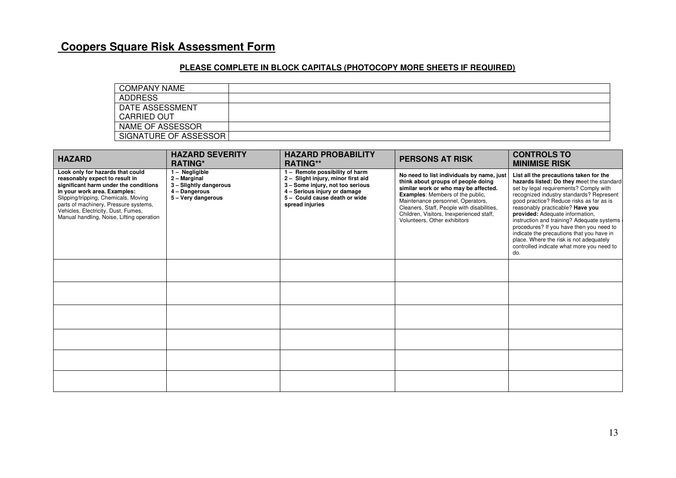### **Coopers Square Risk Assessment Form**

#### **PLEASE COMPLETE IN BLOCK CAPITALS (PHOTOCOPY MORE SHEETS IF REQUIRED)**

| <b>COMPANY NAME</b>   |  |
|-----------------------|--|
| <b>ADDRESS</b>        |  |
| DATE ASSESSMENT       |  |
| <b>CARRIED OUT</b>    |  |
| NAME OF ASSESSOR      |  |
| SIGNATURE OF ASSESSOR |  |

| <b>HAZARD</b>                                                                                                                                                                                                                                                                                                    | <b>HAZARD SEVERITY</b><br><b>RATING*</b>                                                        | <b>HAZARD PROBABILITY</b><br><b>RATING**</b>                                                                                                                                                 | <b>PERSONS AT RISK</b>                                                                                                                                                                                                                                                                                                            | <b>CONTROLS TO</b><br><b>MINIMISE RISK</b>                                                                                                                                                                                                                                                                                                                                                                                                                                                                                         |
|------------------------------------------------------------------------------------------------------------------------------------------------------------------------------------------------------------------------------------------------------------------------------------------------------------------|-------------------------------------------------------------------------------------------------|----------------------------------------------------------------------------------------------------------------------------------------------------------------------------------------------|-----------------------------------------------------------------------------------------------------------------------------------------------------------------------------------------------------------------------------------------------------------------------------------------------------------------------------------|------------------------------------------------------------------------------------------------------------------------------------------------------------------------------------------------------------------------------------------------------------------------------------------------------------------------------------------------------------------------------------------------------------------------------------------------------------------------------------------------------------------------------------|
| Look only for hazards that could<br>reasonably expect to result in<br>significant harm under the conditions<br>in your work area. Examples:<br>Slipping/tripping, Chemicals, Moving<br>parts of machinery, Pressure systems,<br>Vehicles, Electricity, Dust, Fumes,<br>Manual handling, Noise, Lifting operation | 1 - Negligible<br>2 - Marginal<br>3 - Slightly dangerous<br>4 - Dangerous<br>5 - Very dangerous | 1 - Remote possibility of harm<br>2 - Slight injury, minor first aid<br>3 - Some injury, not too serious<br>4 - Serious injury or damage<br>5 - Could cause death or wide<br>spread injuries | No need to list individuals by name, just<br>think about groups of people doing<br>similar work or who may be affected.<br><b>Examples:</b> Members of the public,<br>Maintenance personnel, Operators,<br>Cleaners, Staff, People with disabilities,<br>Children, Visitors, Inexperienced staff,<br>Volunteers, Other exhibitors | List all the precautions taken for the<br>hazards listed: Do they meet the standard<br>set by legal requirements? Comply with<br>recognized industry standards? Represent<br>good practice? Reduce risks as far as is<br>reasonably practicable? Have you<br>provided: Adequate information,<br>instruction and training? Adequate systems<br>procedures? If you have then you need to<br>indicate the precautions that you have in<br>place. Where the risk is not adequately<br>controlled indicate what more you need to<br>do. |
|                                                                                                                                                                                                                                                                                                                  |                                                                                                 |                                                                                                                                                                                              |                                                                                                                                                                                                                                                                                                                                   |                                                                                                                                                                                                                                                                                                                                                                                                                                                                                                                                    |
|                                                                                                                                                                                                                                                                                                                  |                                                                                                 |                                                                                                                                                                                              |                                                                                                                                                                                                                                                                                                                                   |                                                                                                                                                                                                                                                                                                                                                                                                                                                                                                                                    |
|                                                                                                                                                                                                                                                                                                                  |                                                                                                 |                                                                                                                                                                                              |                                                                                                                                                                                                                                                                                                                                   |                                                                                                                                                                                                                                                                                                                                                                                                                                                                                                                                    |
|                                                                                                                                                                                                                                                                                                                  |                                                                                                 |                                                                                                                                                                                              |                                                                                                                                                                                                                                                                                                                                   |                                                                                                                                                                                                                                                                                                                                                                                                                                                                                                                                    |
|                                                                                                                                                                                                                                                                                                                  |                                                                                                 |                                                                                                                                                                                              |                                                                                                                                                                                                                                                                                                                                   |                                                                                                                                                                                                                                                                                                                                                                                                                                                                                                                                    |
|                                                                                                                                                                                                                                                                                                                  |                                                                                                 |                                                                                                                                                                                              |                                                                                                                                                                                                                                                                                                                                   |                                                                                                                                                                                                                                                                                                                                                                                                                                                                                                                                    |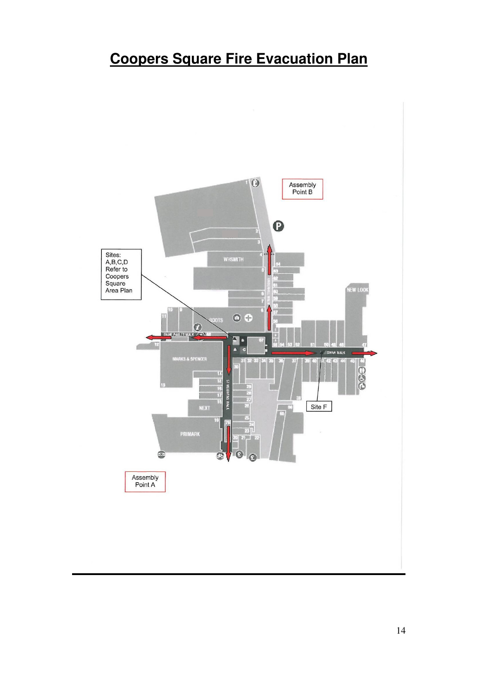# **Coopers Square Fire Evacuation Plan**

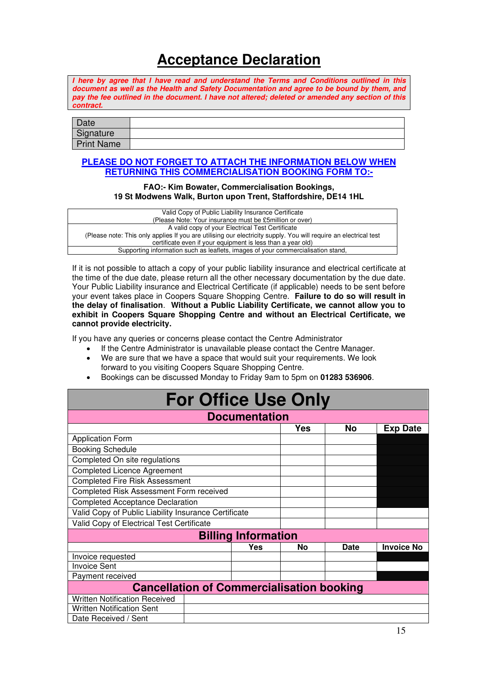## **Acceptance Declaration**

**I here by agree that I have read and understand the Terms and Conditions outlined in this document as well as the Health and Safety Documentation and agree to be bound by them, and pay the fee outlined in the document. I have not altered; deleted or amended any section of this contract.** 

| Date              |  |
|-------------------|--|
| Signature         |  |
| <b>Print Name</b> |  |

#### **PLEASE DO NOT FORGET TO ATTACH THE INFORMATION BELOW WHEN RETURNING THIS COMMERCIALISATION BOOKING FORM TO:-**

#### **FAO:- Kim Bowater, Commercialisation Bookings, 19 St Modwens Walk, Burton upon Trent, Staffordshire, DE14 1HL**

| Valid Copy of Public Liability Insurance Certificate                                                             |
|------------------------------------------------------------------------------------------------------------------|
| (Please Note: Your insurance must be £5million or over)                                                          |
| A valid copy of your Electrical Test Certificate                                                                 |
| (Please note: This only applies If you are utilising our electricity supply. You will require an electrical test |
| certificate even if your equipment is less than a year old)                                                      |
| Supporting information such as leaflets, images of your commercialisation stand,                                 |
|                                                                                                                  |

If it is not possible to attach a copy of your public liability insurance and electrical certificate at the time of the due date, please return all the other necessary documentation by the due date. Your Public Liability insurance and Electrical Certificate (if applicable) needs to be sent before your event takes place in Coopers Square Shopping Centre. **Failure to do so will result in the delay of finalisation**. **Without a Public Liability Certificate, we cannot allow you to exhibit in Coopers Square Shopping Centre and without an Electrical Certificate, we cannot provide electricity.**

If you have any queries or concerns please contact the Centre Administrator

- If the Centre Administrator is unavailable please contact the Centre Manager.
- We are sure that we have a space that would suit your requirements. We look forward to you visiting Coopers Square Shopping Centre.
- Bookings can be discussed Monday to Friday 9am to 5pm on **01283 536906**.

| <b>For Office Use Only</b>                           |     |            |             |                   |  |  |
|------------------------------------------------------|-----|------------|-------------|-------------------|--|--|
| <b>Documentation</b>                                 |     |            |             |                   |  |  |
|                                                      |     | <b>Yes</b> | No          | <b>Exp Date</b>   |  |  |
| <b>Application Form</b>                              |     |            |             |                   |  |  |
| <b>Booking Schedule</b>                              |     |            |             |                   |  |  |
| Completed On site regulations                        |     |            |             |                   |  |  |
| <b>Completed Licence Agreement</b>                   |     |            |             |                   |  |  |
| <b>Completed Fire Risk Assessment</b>                |     |            |             |                   |  |  |
| Completed Risk Assessment Form received              |     |            |             |                   |  |  |
| <b>Completed Acceptance Declaration</b>              |     |            |             |                   |  |  |
| Valid Copy of Public Liability Insurance Certificate |     |            |             |                   |  |  |
| Valid Copy of Electrical Test Certificate            |     |            |             |                   |  |  |
| <b>Billing Information</b>                           |     |            |             |                   |  |  |
|                                                      | Yes | No         | <b>Date</b> | <b>Invoice No</b> |  |  |
| Invoice requested                                    |     |            |             |                   |  |  |
| <b>Invoice Sent</b>                                  |     |            |             |                   |  |  |
| Payment received                                     |     |            |             |                   |  |  |
| <b>Cancellation of Commercialisation booking</b>     |     |            |             |                   |  |  |
| <b>Written Notification Received</b>                 |     |            |             |                   |  |  |
| <b>Written Notification Sent</b>                     |     |            |             |                   |  |  |
| Date Received / Sent                                 |     |            |             |                   |  |  |